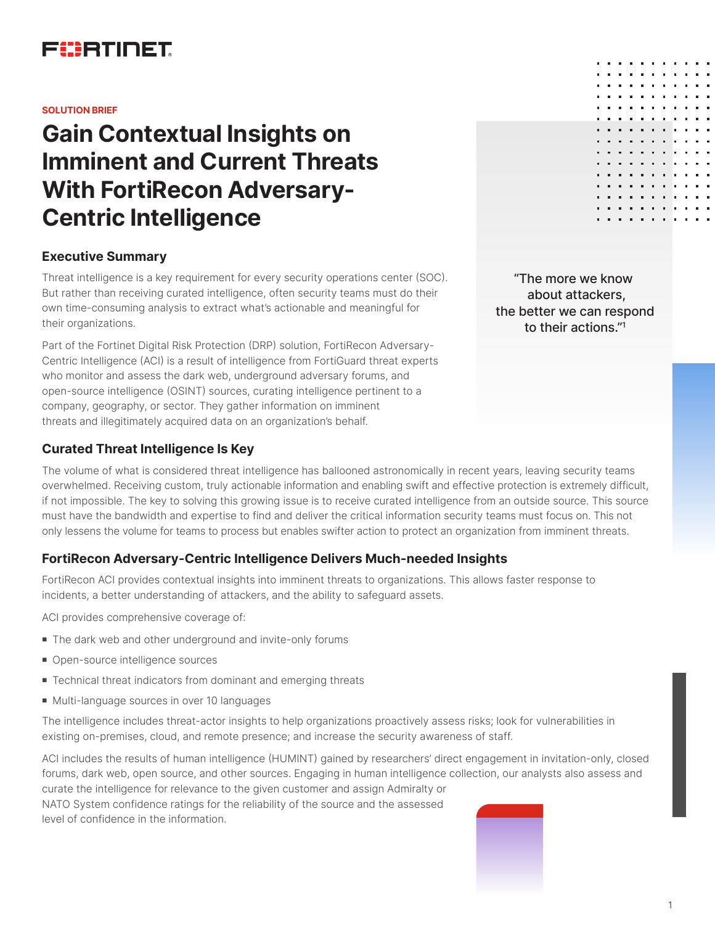

#### **SOLUTION BRIEF**

# **Gain Contextual Insights on Imminent and Current Threats With FortiRecon Adversary-Centric Intelligence**

### **Executive Summary**

Threat intelligence is a key requirement for every security operations center (SOC). But rather than receiving curated intelligence, often security teams must do their own time-consuming analysis to extract what's actionable and meaningful for their organizations.

Part of the Fortinet Digital Risk Protection (DRP) solution, FortiRecon Adversary-Centric Intelligence (ACI) is a result of intelligence from FortiGuard threat experts who monitor and assess the dark web, underground adversary forums, and open-source intelligence (OSINT) sources, curating intelligence pertinent to a company, geography, or sector. They gather information on imminent threats and illegitimately acquired data on an organization's behalf.

## **Curated Threat Intelligence Is Key**

The volume of what is considered threat intelligence has ballooned astronomically in recent years, leaving security teams overwhelmed. Receiving custom, truly actionable information and enabling swift and effective protection is extremely difficult, if not impossible. The key to solving this growing issue is to receive curated intelligence from an outside source. This source must have the bandwidth and expertise to find and deliver the critical information security teams must focus on. This not only lessens the volume for teams to process but enables swifter action to protect an organization from imminent threats.

## **FortiRecon Adversary-Centric Intelligence Delivers Much-needed Insights**

FortiRecon ACI provides contextual insights into imminent threats to organizations. This allows faster response to incidents, a better understanding of attackers, and the ability to safeguard assets.

ACI provides comprehensive coverage of:

- The dark web and other underground and invite-only forums
- Open-source intelligence sources
- $\blacksquare$  Technical threat indicators from dominant and emerging threats
- Multi-language sources in over 10 languages

The intelligence includes threat-actor insights to help organizations proactively assess risks; look for vulnerabilities in existing on-premises, cloud, and remote presence; and increase the security awareness of staff.

ACI includes the results of human intelligence (HUMINT) gained by researchers' direct engagement in invitation-only, closed forums, dark web, open source, and other sources. Engaging in human intelligence collection, our analysts also assess and curate the intelligence for relevance to the given customer and assign Admiralty or NATO System confidence ratings for the reliability of the source and the assessed level of confidence in the information.

"The more we know about attackers, the better we can respond to their actions."1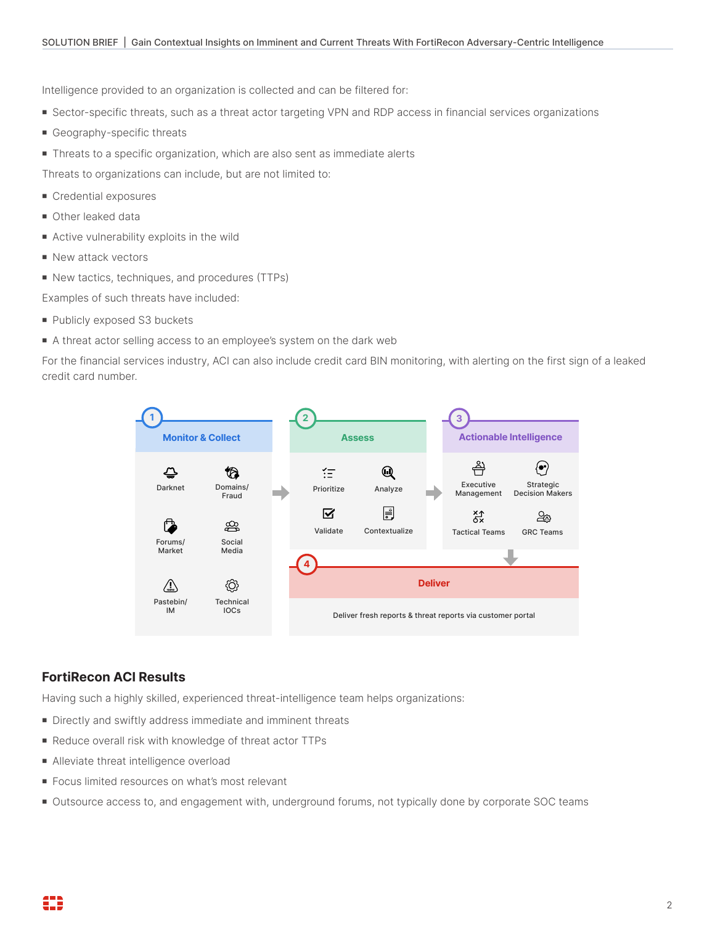Intelligence provided to an organization is collected and can be filtered for:

- <sup>n</sup> Sector-specific threats, such as a threat actor targeting VPN and RDP access in financial services organizations
- **Geography-specific threats**
- Threats to a specific organization, which are also sent as immediate alerts

Threats to organizations can include, but are not limited to:

- **n** Credential exposures
- Other leaked data
- $\blacksquare$  Active vulnerability exploits in the wild
- New attack vectors
- New tactics, techniques, and procedures (TTPs)

Examples of such threats have included:

- Publicly exposed S3 buckets
- A threat actor selling access to an employee's system on the dark web

For the financial services industry, ACI can also include credit card BIN monitoring, with alerting on the first sign of a leaked credit card number.



# **FortiRecon ACI Results**

Having such a highly skilled, experienced threat-intelligence team helps organizations:

- Directly and swiftly address immediate and imminent threats
- Reduce overall risk with knowledge of threat actor TTPs
- Alleviate threat intelligence overload
- Focus limited resources on what's most relevant
- Outsource access to, and engagement with, underground forums, not typically done by corporate SOC teams